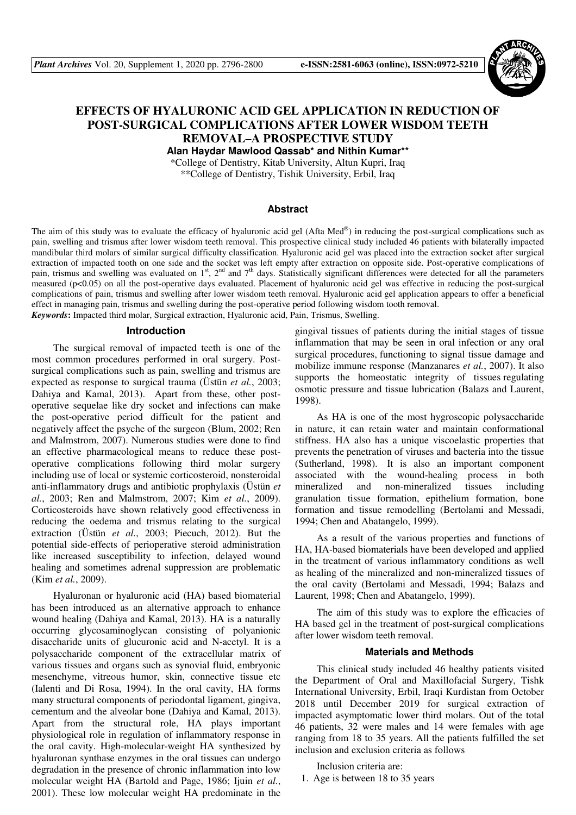

# **EFFECTS OF HYALURONIC ACID GEL APPLICATION IN REDUCTION OF POST-SURGICAL COMPLICATIONS AFTER LOWER WISDOM TEETH REMOVAL–A PROSPECTIVE STUDY**

**Alan Haydar Mawlood Qassab\* and Nithin Kumar\*\***

\*College of Dentistry, Kitab University, Altun Kupri, Iraq \*\*College of Dentistry, Tishik University, Erbil, Iraq

## **Abstract**

The aim of this study was to evaluate the efficacy of hyaluronic acid gel (Afta Med®) in reducing the post-surgical complications such as pain, swelling and trismus after lower wisdom teeth removal. This prospective clinical study included 46 patients with bilaterally impacted mandibular third molars of similar surgical difficulty classification. Hyaluronic acid gel was placed into the extraction socket after surgical extraction of impacted tooth on one side and the socket was left empty after extraction on opposite side. Post-operative complications of pain, trismus and swelling was evaluated on 1<sup>st</sup>, 2<sup>nd</sup> and 7<sup>th</sup> days. Statistically significant differences were detected for all the parameters measured (p<0.05) on all the post-operative days evaluated. Placement of hyaluronic acid gel was effective in reducing the post-surgical complications of pain, trismus and swelling after lower wisdom teeth removal. Hyaluronic acid gel application appears to offer a beneficial effect in managing pain, trismus and swelling during the post-operative period following wisdom tooth removal. *Keywords***:** Impacted third molar, Surgical extraction, Hyaluronic acid, Pain, Trismus, Swelling.

#### **Introduction**

The surgical removal of impacted teeth is one of the most common procedures performed in oral surgery. Postsurgical complications such as pain, swelling and trismus are expected as response to surgical trauma (Üstün *et al.*, 2003; Dahiya and Kamal, 2013). Apart from these, other postoperative sequelae like dry socket and infections can make the post-operative period difficult for the patient and negatively affect the psyche of the surgeon (Blum, 2002; Ren and Malmstrom, 2007). Numerous studies were done to find an effective pharmacological means to reduce these postoperative complications following third molar surgery including use of local or systemic corticosteroid, nonsteroidal anti-inflammatory drugs and antibiotic prophylaxis (Üstün *et al.*, 2003; Ren and Malmstrom, 2007; Kim *et al.*, 2009). Corticosteroids have shown relatively good effectiveness in reducing the oedema and trismus relating to the surgical extraction (Üstün *et al.*, 2003; Piecuch, 2012). But the potential side-effects of perioperative steroid administration like increased susceptibility to infection, delayed wound healing and sometimes adrenal suppression are problematic (Kim *et al.*, 2009).

Hyaluronan or hyaluronic acid (HA) based biomaterial has been introduced as an alternative approach to enhance wound healing (Dahiya and Kamal, 2013). HA is a naturally occurring glycosaminoglycan consisting of polyanionic disaccharide units of glucuronic acid and N-acetyl. It is a polysaccharide component of the extracellular matrix of various tissues and organs such as synovial fluid, embryonic mesenchyme, vitreous humor, skin, connective tissue etc (Ialenti and Di Rosa, 1994). In the oral cavity, HA forms many structural components of periodontal ligament, gingiva, cementum and the alveolar bone (Dahiya and Kamal, 2013). Apart from the structural role, HA plays important physiological role in regulation of inflammatory response in the oral cavity. High-molecular-weight HA synthesized by hyaluronan synthase enzymes in the oral tissues can undergo degradation in the presence of chronic inflammation into low molecular weight HA (Bartold and Page, 1986; Ijuin *et al.*, 2001). These low molecular weight HA predominate in the

gingival tissues of patients during the initial stages of tissue inflammation that may be seen in oral infection or any oral surgical procedures, functioning to signal tissue damage and mobilize immune response (Manzanares *et al.*, 2007). It also supports the homeostatic integrity of tissues regulating osmotic pressure and tissue lubrication (Balazs and Laurent, 1998).

As HA is one of the most hygroscopic polysaccharide in nature, it can retain water and maintain conformational stiffness. HA also has a unique viscoelastic properties that prevents the penetration of viruses and bacteria into the tissue (Sutherland, 1998). It is also an important component associated with the wound-healing process in both mineralized and non-mineralized tissues including granulation tissue formation, epithelium formation, bone formation and tissue remodelling (Bertolami and Messadi, 1994; Chen and Abatangelo, 1999).

As a result of the various properties and functions of HA, HA-based biomaterials have been developed and applied in the treatment of various inflammatory conditions as well as healing of the mineralized and non-mineralized tissues of the oral cavity (Bertolami and Messadi, 1994; Balazs and Laurent, 1998; Chen and Abatangelo, 1999).

The aim of this study was to explore the efficacies of HA based gel in the treatment of post-surgical complications after lower wisdom teeth removal.

## **Materials and Methods**

This clinical study included 46 healthy patients visited the Department of Oral and Maxillofacial Surgery, Tishk International University, Erbil, Iraqi Kurdistan from October 2018 until December 2019 for surgical extraction of impacted asymptomatic lower third molars. Out of the total 46 patients, 32 were males and 14 were females with age ranging from 18 to 35 years. All the patients fulfilled the set inclusion and exclusion criteria as follows

Inclusion criteria are: 1. Age is between 18 to 35 years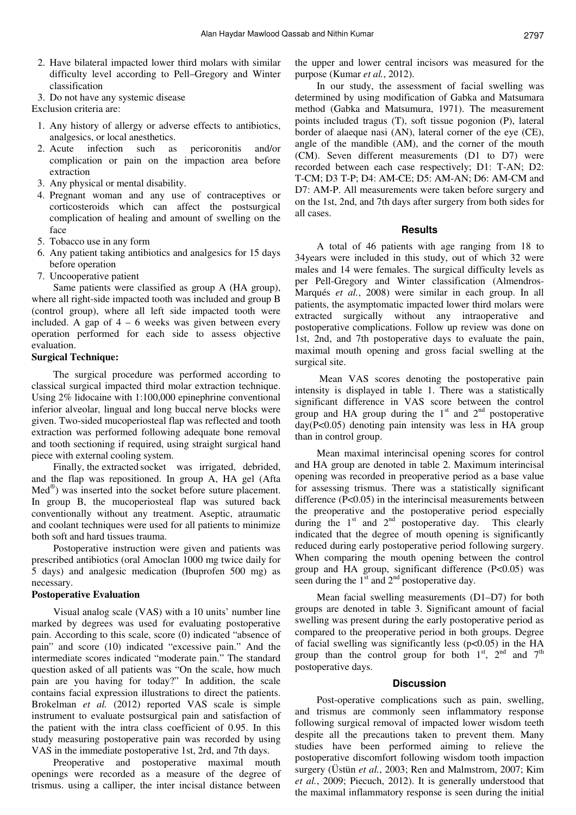- 2. Have bilateral impacted lower third molars with similar difficulty level according to Pell–Gregory and Winter classification
- 3. Do not have any systemic disease

Exclusion criteria are:

- 1. Any history of allergy or adverse effects to antibiotics, analgesics, or local anesthetics.
- 2. Acute infection such as pericoronitis and/or complication or pain on the impaction area before extraction
- 3. Any physical or mental disability.
- 4. Pregnant woman and any use of contraceptives or corticosteroids which can affect the postsurgical complication of healing and amount of swelling on the face
- 5. Tobacco use in any form
- 6. Any patient taking antibiotics and analgesics for 15 days before operation
- 7. Uncooperative patient

Same patients were classified as group A (HA group), where all right-side impacted tooth was included and group B (control group), where all left side impacted tooth were included. A gap of  $4 - 6$  weeks was given between every operation performed for each side to assess objective evaluation.

## **Surgical Technique:**

The surgical procedure was performed according to classical surgical impacted third molar extraction technique. Using 2% lidocaine with 1:100,000 epinephrine conventional inferior alveolar, lingual and long buccal nerve blocks were given. Two-sided mucoperiosteal flap was reflected and tooth extraction was performed following adequate bone removal and tooth sectioning if required, using straight surgical hand piece with external cooling system.

Finally, the extracted socket was irrigated, debrided, and the flap was repositioned. In group A, HA gel (Afta Med® ) was inserted into the socket before suture placement. In group B, the mucoperiosteal flap was sutured back conventionally without any treatment. Aseptic, atraumatic and coolant techniques were used for all patients to minimize both soft and hard tissues trauma.

Postoperative instruction were given and patients was prescribed antibiotics (oral Amoclan 1000 mg twice daily for 5 days) and analgesic medication (Ibuprofen 500 mg) as necessary.

## **Postoperative Evaluation**

Visual analog scale (VAS) with a 10 units' number line marked by degrees was used for evaluating postoperative pain. According to this scale, score (0) indicated "absence of pain" and score (10) indicated "excessive pain." And the intermediate scores indicated "moderate pain." The standard question asked of all patients was "On the scale, how much pain are you having for today?" In addition, the scale contains facial expression illustrations to direct the patients. Brokelman *et al.* (2012) reported VAS scale is simple instrument to evaluate postsurgical pain and satisfaction of the patient with the intra class coefficient of 0.95. In this study measuring postoperative pain was recorded by using VAS in the immediate postoperative 1st, 2rd, and 7th days.

Preoperative and postoperative maximal mouth openings were recorded as a measure of the degree of trismus. using a calliper, the inter incisal distance between

the upper and lower central incisors was measured for the purpose (Kumar *et al.*, 2012).

In our study, the assessment of facial swelling was determined by using modification of Gabka and Matsumara method (Gabka and Matsumura, 1971). The measurement points included tragus (T), soft tissue pogonion (P), lateral border of alaeque nasi (AN), lateral corner of the eye (CE), angle of the mandible (AM), and the corner of the mouth (CM). Seven different measurements (D1 to D7) were recorded between each case respectively; D1: T-AN; D2: T-CM; D3 T-P; D4: AM-CE; D5: AM-AN; D6: AM-CM and D7: AM-P. All measurements were taken before surgery and on the 1st, 2nd, and 7th days after surgery from both sides for all cases.

#### **Results**

A total of 46 patients with age ranging from 18 to 34years were included in this study, out of which 32 were males and 14 were females. The surgical difficulty levels as per Pell-Gregory and Winter classification (Almendros-Marqués *et al.*, 2008) were similar in each group. In all patients, the asymptomatic impacted lower third molars were extracted surgically without any intraoperative and postoperative complications. Follow up review was done on 1st, 2nd, and 7th postoperative days to evaluate the pain, maximal mouth opening and gross facial swelling at the surgical site.

 Mean VAS scores denoting the postoperative pain intensity is displayed in table 1. There was a statistically significant difference in VAS score between the control group and HA group during the  $1<sup>st</sup>$  and  $2<sup>nd</sup>$  postoperative day(P<0.05) denoting pain intensity was less in HA group than in control group.

Mean maximal interincisal opening scores for control and HA group are denoted in table 2. Maximum interincisal opening was recorded in preoperative period as a base value for assessing trismus. There was a statistically significant difference (P<0.05) in the interincisal measurements between the preoperative and the postoperative period especially during the  $1<sup>st</sup>$  and  $2<sup>nd</sup>$  postoperative day. This clearly indicated that the degree of mouth opening is significantly reduced during early postoperative period following surgery. When comparing the mouth opening between the control group and HA group, significant difference (P<0.05) was seen during the  $1<sup>st</sup>$  and  $2<sup>nd</sup>$  postoperative day.

Mean facial swelling measurements (D1–D7) for both groups are denoted in table 3. Significant amount of facial swelling was present during the early postoperative period as compared to the preoperative period in both groups. Degree of facial swelling was significantly less (p<0.05) in the HA group than the control group for both  $1<sup>st</sup>$ ,  $2<sup>nd</sup>$  and  $7<sup>th</sup>$ postoperative days.

#### **Discussion**

Post-operative complications such as pain, swelling, and trismus are commonly seen inflammatory response following surgical removal of impacted lower wisdom teeth despite all the precautions taken to prevent them. Many studies have been performed aiming to relieve the postoperative discomfort following wisdom tooth impaction surgery (Üstün *et al.*, 2003; Ren and Malmstrom, 2007; Kim *et al.*, 2009; Piecuch, 2012). It is generally understood that the maximal inflammatory response is seen during the initial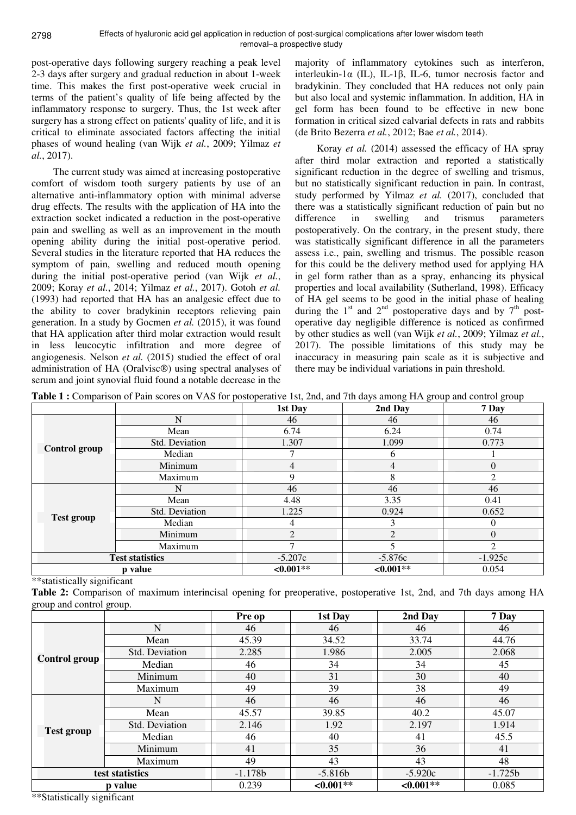post-operative days following surgery reaching a peak level 2-3 days after surgery and gradual reduction in about 1-week time. This makes the first post-operative week crucial in terms of the patient's quality of life being affected by the inflammatory response to surgery. Thus, the 1st week after surgery has a strong effect on patients' quality of life, and it is critical to eliminate associated factors affecting the initial phases of wound healing (van Wijk *et al.*, 2009; Yilmaz *et al.*, 2017).

The current study was aimed at increasing postoperative comfort of wisdom tooth surgery patients by use of an alternative anti-inflammatory option with minimal adverse drug effects. The results with the application of HA into the extraction socket indicated a reduction in the post-operative pain and swelling as well as an improvement in the mouth opening ability during the initial post-operative period. Several studies in the literature reported that HA reduces the symptom of pain, swelling and reduced mouth opening during the initial post-operative period (van Wijk *et al.*, 2009; Koray *et al.*, 2014; Yilmaz *et al.*, 2017). Gotoh *et al.* (1993) had reported that HA has an analgesic effect due to the ability to cover bradykinin receptors relieving pain generation. In a study by Gocmen *et al.* (2015), it was found that HA application after third molar extraction would result in less leucocytic infiltration and more degree of angiogenesis. Nelson *et al.* (2015) studied the effect of oral administration of HA (Oralvisc®) using spectral analyses of serum and joint synovial fluid found a notable decrease in the

majority of inflammatory cytokines such as interferon, interleukin-1 $\alpha$  (IL), IL-1 $\beta$ , IL-6, tumor necrosis factor and bradykinin. They concluded that HA reduces not only pain but also local and systemic inflammation. In addition, HA in gel form has been found to be effective in new bone formation in critical sized calvarial defects in rats and rabbits (de Brito Bezerra *et al.*, 2012; Bae *et al.*, 2014).

Koray *et al.* (2014) assessed the efficacy of HA spray after third molar extraction and reported a statistically significant reduction in the degree of swelling and trismus, but no statistically significant reduction in pain. In contrast, study performed by Yilmaz *et al.* (2017), concluded that there was a statistically significant reduction of pain but no difference in swelling and trismus parameters postoperatively. On the contrary, in the present study, there was statistically significant difference in all the parameters assess i.e., pain, swelling and trismus. The possible reason for this could be the delivery method used for applying HA in gel form rather than as a spray, enhancing its physical properties and local availability (Sutherland, 1998). Efficacy of HA gel seems to be good in the initial phase of healing during the  $1<sup>st</sup>$  and  $2<sup>nd</sup>$  postoperative days and by  $7<sup>th</sup>$  postoperative day negligible difference is noticed as confirmed by other studies as well (van Wijk *et al.*, 2009; Yilmaz *et al.*, 2017). The possible limitations of this study may be inaccuracy in measuring pain scale as it is subjective and there may be individual variations in pain threshold.

**Table 1 :** Comparison of Pain scores on VAS for postoperative 1st, 2nd, and 7th days among HA group and control group

|                        |                | 1st Day        | 2nd Day        | 7 Day          |
|------------------------|----------------|----------------|----------------|----------------|
|                        | N              | 46             | 46             | 46             |
|                        | Mean           | 6.74           | 6.24           | 0.74           |
|                        | Std. Deviation | 1.307          | 1.099          | 0.773          |
| Control group          | Median         | ⇁              | 6              |                |
|                        | Minimum        | 4              | $\overline{4}$ | $\Omega$       |
|                        | Maximum        | 9              | 8              | $\mathfrak{D}$ |
|                        | N              | 46             | 46             | 46             |
|                        | Mean           | 4.48           | 3.35           | 0.41           |
|                        | Std. Deviation | 1.225          | 0.924          | 0.652          |
| <b>Test group</b>      | Median         | 4              | 3              | $\Omega$       |
|                        | Minimum        | $\overline{2}$ | $\overline{2}$ | $\Omega$       |
|                        | Maximum        |                |                | 2              |
| <b>Test statistics</b> |                | $-5.207c$      | $-5.876c$      | $-1.925c$      |
| p value                |                | $<0.001**$     | $<0.001**$     | 0.054          |

\*\*statistically significant

**Table 2:** Comparison of maximum interincisal opening for preoperative, postoperative 1st, 2nd, and 7th days among HA group and control group.

|                      |                | Pre op    | 1st Day    | 2nd Day      | 7 Day     |
|----------------------|----------------|-----------|------------|--------------|-----------|
| <b>Control group</b> | $\mathbf N$    | 46        | 46         | 46           | 46        |
|                      | Mean           | 45.39     | 34.52      | 33.74        | 44.76     |
|                      | Std. Deviation | 2.285     | 1.986      | 2.005        | 2.068     |
|                      | Median         | 46        | 34         | 34           | 45        |
|                      | Minimum        | 40        | 31         | 30           | 40        |
|                      | Maximum        | 49        | 39         | 38           | 49        |
|                      | N              | 46        | 46         | 46           | 46        |
|                      | Mean           | 45.57     | 39.85      | 40.2         | 45.07     |
| <b>Test group</b>    | Std. Deviation | 2.146     | 1.92       | 2.197        | 1.914     |
|                      | Median         | 46        | 40         | 41           | 45.5      |
|                      | Minimum        | 41        | 35         | 36           | 41        |
|                      | Maximum        | 49        | 43         | 43           | 48        |
| test statistics      |                | $-1.178b$ | $-5.816b$  | $-5.920c$    | $-1.725b$ |
| p value              |                | 0.239     | $<0.001**$ | ${<}0.001**$ | 0.085     |

\*\*Statistically significant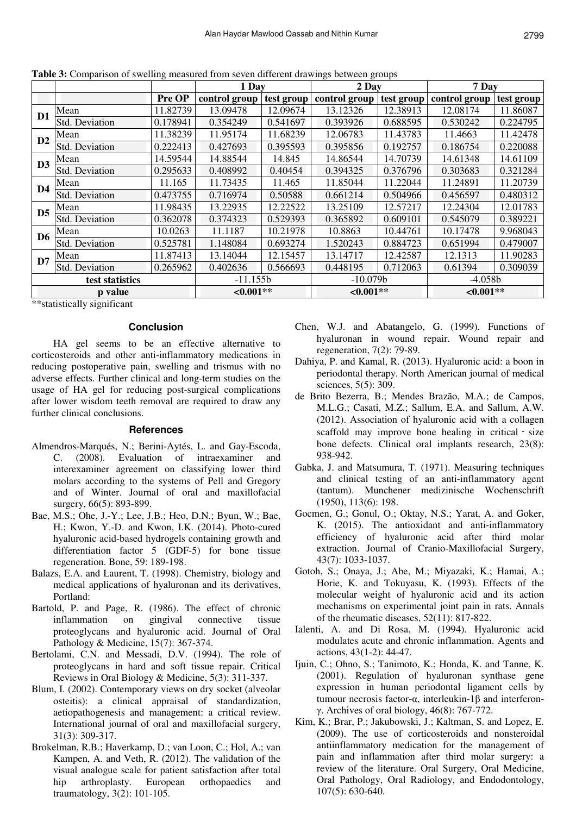|                 |                |              | 1 Day         |            | 2 Day         |            | 7 Day         |            |
|-----------------|----------------|--------------|---------------|------------|---------------|------------|---------------|------------|
|                 |                | Pre OP       | control group | test group | control group | test group | control group | test group |
| D <sub>1</sub>  | Mean           | 11.82739     | 13.09478      | 12.09674   | 13.12326      | 12.38913   | 12.08174      | 11.86087   |
|                 | Std. Deviation | 0.178941     | 0.354249      | 0.541697   | 0.393926      | 0.688595   | 0.530242      | 0.224795   |
| D2              | Mean           | 11.38239     | 11.95174      | 11.68239   | 12.06783      | 11.43783   | 11.4663       | 11.42478   |
|                 | Std. Deviation | 0.222413     | 0.427693      | 0.395593   | 0.395856      | 0.192757   | 0.186754      | 0.220088   |
| D <sub>3</sub>  | Mean           | 14.59544     | 14.88544      | 14.845     | 14.86544      | 14.70739   | 14.61348      | 14.61109   |
|                 | Std. Deviation | 0.295633     | 0.408992      | 0.40454    | 0.394325      | 0.376796   | 0.303683      | 0.321284   |
| D <sub>4</sub>  | Mean           | 11.165       | 11.73435      | 11.465     | 11.85044      | 11.22044   | 11.24891      | 11.20739   |
|                 | Std. Deviation | 0.473755     | 0.716974      | 0.50588    | 0.661214      | 0.504966   | 0.456597      | 0.480312   |
| D <sub>5</sub>  | Mean           | 11.98435     | 13.22935      | 12.22522   | 13.25109      | 12.57217   | 12.24304      | 12.01783   |
|                 | Std. Deviation | 0.362078     | 0.374323      | 0.529393   | 0.365892      | 0.609101   | 0.545079      | 0.389221   |
| D6              | Mean           | 10.0263      | 11.1187       | 10.21978   | 10.8863       | 10.44761   | 10.17478      | 9.968043   |
|                 | Std. Deviation | 0.525781     | 1.148084      | 0.693274   | 1.520243      | 0.884723   | 0.651994      | 0.479007   |
| D7              | Mean           | 11.87413     | 13.14044      | 12.15457   | 13.14717      | 12.42587   | 12.1313       | 11.90283   |
|                 | Std. Deviation | 0.265962     | 0.402636      | 0.566693   | 0.448195      | 0.712063   | 0.61394       | 0.309039   |
| test statistics |                | $-11.155b$   |               | $-10.079b$ |               | $-4.058b$  |               |            |
| p value         |                | ${<}0.001**$ |               | $<0.001**$ |               | $<0.001**$ |               |            |

**Table 3:** Comparison of swelling measured from seven different drawings between groups

\*\*statistically significant

## **Conclusion**

HA gel seems to be an effective alternative to corticosteroids and other anti-inflammatory medications in reducing postoperative pain, swelling and trismus with no adverse effects. Further clinical and long-term studies on the usage of HA gel for reducing post-surgical complications after lower wisdom teeth removal are required to draw any further clinical conclusions.

#### **References**

- Almendros-Marqués, N.; Berini-Aytés, L. and Gay-Escoda, C. (2008). Evaluation of intraexaminer and interexaminer agreement on classifying lower third molars according to the systems of Pell and Gregory and of Winter. Journal of oral and maxillofacial surgery, 66(5): 893-899.
- Bae, M.S.; Ohe, J.-Y.; Lee, J.B.; Heo, D.N.; Byun, W.; Bae, H.; Kwon, Y.-D. and Kwon, I.K. (2014). Photo-cured hyaluronic acid-based hydrogels containing growth and differentiation factor 5 (GDF-5) for bone tissue regeneration. Bone, 59: 189-198.
- Balazs, E.A. and Laurent, T. (1998). Chemistry, biology and medical applications of hyaluronan and its derivatives, Portland:
- Bartold, P. and Page, R. (1986). The effect of chronic inflammation on gingival connective tissue proteoglycans and hyaluronic acid. Journal of Oral Pathology & Medicine, 15(7): 367-374.
- Bertolami, C.N. and Messadi, D.V. (1994). The role of proteoglycans in hard and soft tissue repair. Critical Reviews in Oral Biology & Medicine, 5(3): 311-337.
- Blum, I. (2002). Contemporary views on dry socket (alveolar osteitis): a clinical appraisal of standardization, aetiopathogenesis and management: a critical review. International journal of oral and maxillofacial surgery, 31(3): 309-317.
- Brokelman, R.B.; Haverkamp, D.; van Loon, C.; Hol, A.; van Kampen, A. and Veth, R. (2012). The validation of the visual analogue scale for patient satisfaction after total hip arthroplasty. European orthopaedics and traumatology, 3(2): 101-105.
- Chen, W.J. and Abatangelo, G. (1999). Functions of hyaluronan in wound repair. Wound repair and regeneration, 7(2): 79-89.
- Dahiya, P. and Kamal, R. (2013). Hyaluronic acid: a boon in periodontal therapy. North American journal of medical sciences, 5(5): 309.
- de Brito Bezerra, B.; Mendes Brazão, M.A.; de Campos, M.L.G.; Casati, M.Z.; Sallum, E.A. and Sallum, A.W. (2012). Association of hyaluronic acid with a collagen scaffold may improve bone healing in critical size bone defects. Clinical oral implants research, 23(8): 938-942.
- Gabka, J. and Matsumura, T. (1971). Measuring techniques and clinical testing of an anti-inflammatory agent (tantum). Munchener medizinische Wochenschrift (1950), 113(6): 198.
- Gocmen, G.; Gonul, O.; Oktay, N.S.; Yarat, A. and Goker, K. (2015). The antioxidant and anti-inflammatory efficiency of hyaluronic acid after third molar extraction. Journal of Cranio-Maxillofacial Surgery, 43(7): 1033-1037.
- Gotoh, S.; Onaya, J.; Abe, M.; Miyazaki, K.; Hamai, A.; Horie, K. and Tokuyasu, K. (1993). Effects of the molecular weight of hyaluronic acid and its action mechanisms on experimental joint pain in rats. Annals of the rheumatic diseases, 52(11): 817-822.
- Ialenti, A. and Di Rosa, M. (1994). Hyaluronic acid modulates acute and chronic inflammation. Agents and actions, 43(1-2): 44-47.
- Ijuin, C.; Ohno, S.; Tanimoto, K.; Honda, K. and Tanne, K. (2001). Regulation of hyaluronan synthase gene expression in human periodontal ligament cells by tumour necrosis factor-α, interleukin-1β and interferonγ. Archives of oral biology, 46(8): 767-772.
- Kim, K.; Brar, P.; Jakubowski, J.; Kaltman, S. and Lopez, E. (2009). The use of corticosteroids and nonsteroidal antiinflammatory medication for the management of pain and inflammation after third molar surgery: a review of the literature. Oral Surgery, Oral Medicine, Oral Pathology, Oral Radiology, and Endodontology, 107(5): 630-640.